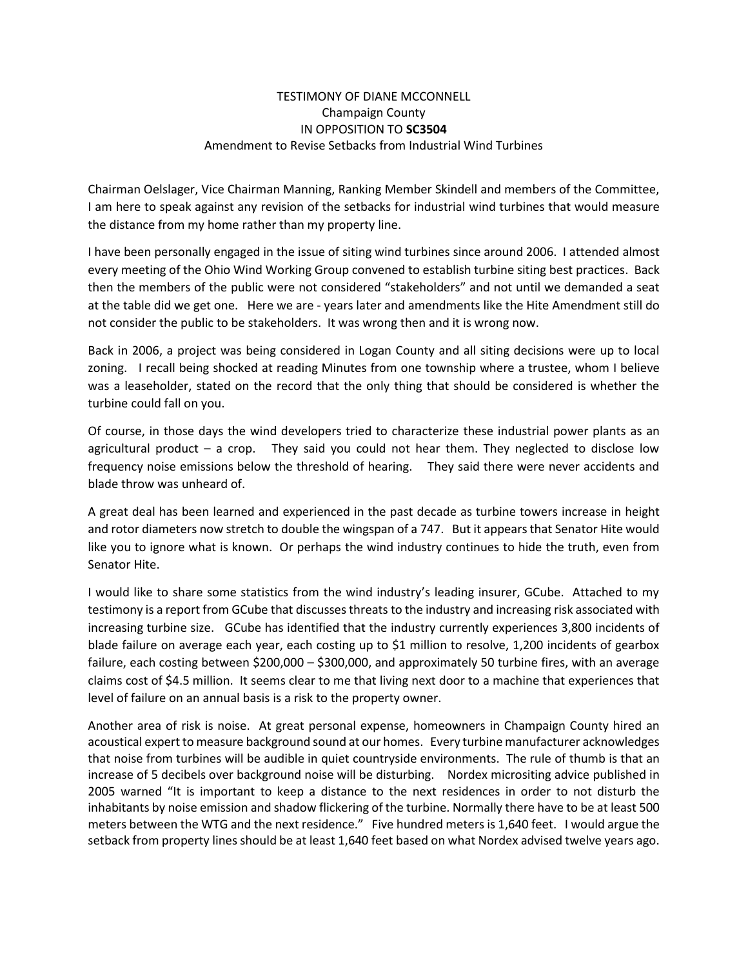## TESTIMONY OF DIANE MCCONNELL Champaign County IN OPPOSITION TO **SC3504** Amendment to Revise Setbacks from Industrial Wind Turbines

Chairman Oelslager, Vice Chairman Manning, Ranking Member Skindell and members of the Committee, I am here to speak against any revision of the setbacks for industrial wind turbines that would measure the distance from my home rather than my property line.

I have been personally engaged in the issue of siting wind turbines since around 2006. I attended almost every meeting of the Ohio Wind Working Group convened to establish turbine siting best practices. Back then the members of the public were not considered "stakeholders" and not until we demanded a seat at the table did we get one. Here we are - years later and amendments like the Hite Amendment still do not consider the public to be stakeholders. It was wrong then and it is wrong now.

Back in 2006, a project was being considered in Logan County and all siting decisions were up to local zoning. I recall being shocked at reading Minutes from one township where a trustee, whom I believe was a leaseholder, stated on the record that the only thing that should be considered is whether the turbine could fall on you.

Of course, in those days the wind developers tried to characterize these industrial power plants as an agricultural product – a crop. They said you could not hear them. They neglected to disclose low frequency noise emissions below the threshold of hearing. They said there were never accidents and blade throw was unheard of.

A great deal has been learned and experienced in the past decade as turbine towers increase in height and rotor diameters now stretch to double the wingspan of a 747. But it appears that Senator Hite would like you to ignore what is known. Or perhaps the wind industry continues to hide the truth, even from Senator Hite.

I would like to share some statistics from the wind industry's leading insurer, GCube. Attached to my testimony is a report from GCube that discusses threats to the industry and increasing risk associated with increasing turbine size. GCube has identified that the industry currently experiences 3,800 incidents of blade failure on average each year, each costing up to \$1 million to resolve, 1,200 incidents of gearbox failure, each costing between \$200,000 – \$300,000, and approximately 50 turbine fires, with an average claims cost of \$4.5 million. It seems clear to me that living next door to a machine that experiences that level of failure on an annual basis is a risk to the property owner.

Another area of risk is noise. At great personal expense, homeowners in Champaign County hired an acoustical expert to measure background sound at our homes. Every turbine manufacturer acknowledges that noise from turbines will be audible in quiet countryside environments. The rule of thumb is that an increase of 5 decibels over background noise will be disturbing. Nordex micrositing advice published in 2005 warned "It is important to keep a distance to the next residences in order to not disturb the inhabitants by noise emission and shadow flickering of the turbine. Normally there have to be at least 500 meters between the WTG and the next residence." Five hundred meters is 1,640 feet. I would argue the setback from property lines should be at least 1,640 feet based on what Nordex advised twelve years ago.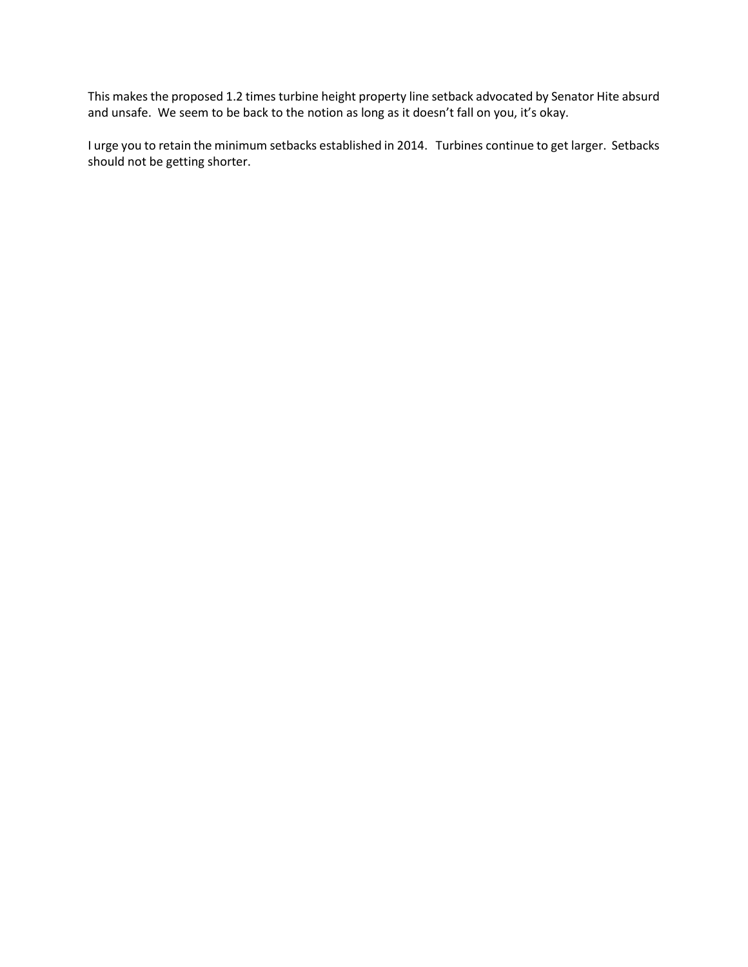This makes the proposed 1.2 times turbine height property line setback advocated by Senator Hite absurd and unsafe. We seem to be back to the notion as long as it doesn't fall on you, it's okay.

I urge you to retain the minimum setbacks established in 2014. Turbines continue to get larger. Setbacks should not be getting shorter.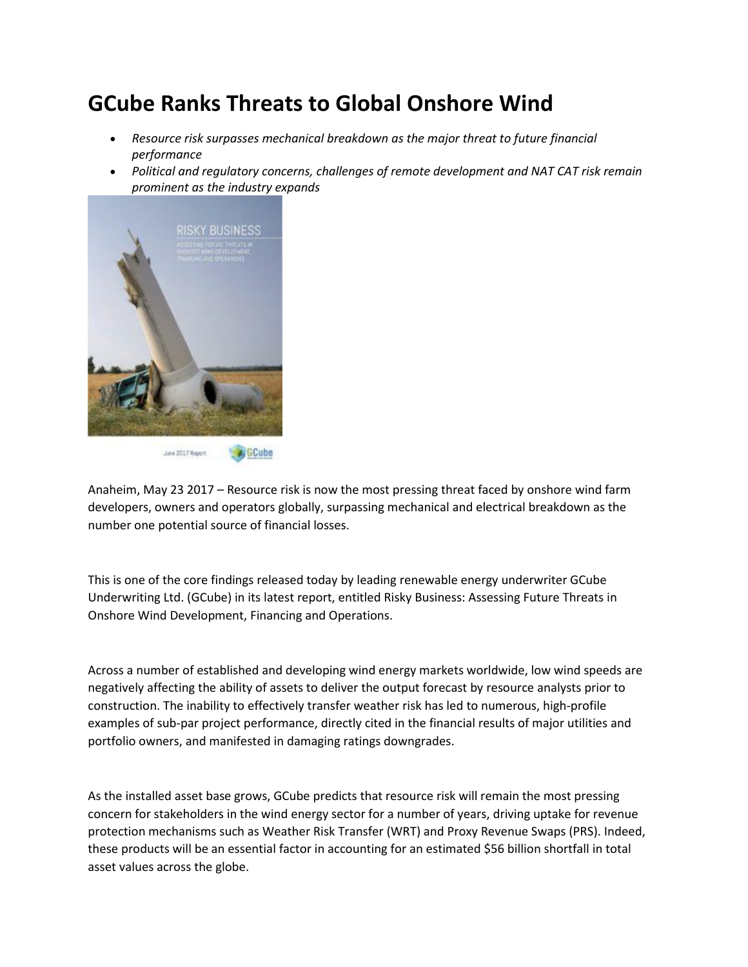## **GCube Ranks Threats to Global Onshore Wind**

- *Resource risk surpasses mechanical breakdown as the major threat to future financial performance*
- *Political and regulatory concerns, challenges of remote development and NAT CAT risk remain prominent as the industry expands*



Anaheim, May 23 2017 – Resource risk is now the most pressing threat faced by onshore wind farm developers, owners and operators globally, surpassing mechanical and electrical breakdown as the number one potential source of financial losses.

This is one of the core findings released today by leading renewable energy underwriter GCube Underwriting Ltd. (GCube) in its latest report, entitled Risky Business: Assessing Future Threats in Onshore Wind Development, Financing and Operations.

Across a number of established and developing wind energy markets worldwide, low wind speeds are negatively affecting the ability of assets to deliver the output forecast by resource analysts prior to construction. The inability to effectively transfer weather risk has led to numerous, high-profile examples of sub-par project performance, directly cited in the financial results of major utilities and portfolio owners, and manifested in damaging ratings downgrades.

As the installed asset base grows, GCube predicts that resource risk will remain the most pressing concern for stakeholders in the wind energy sector for a number of years, driving uptake for revenue protection mechanisms such as Weather Risk Transfer (WRT) and Proxy Revenue Swaps (PRS). Indeed, these products will be an essential factor in accounting for an estimated \$56 billion shortfall in total asset values across the globe.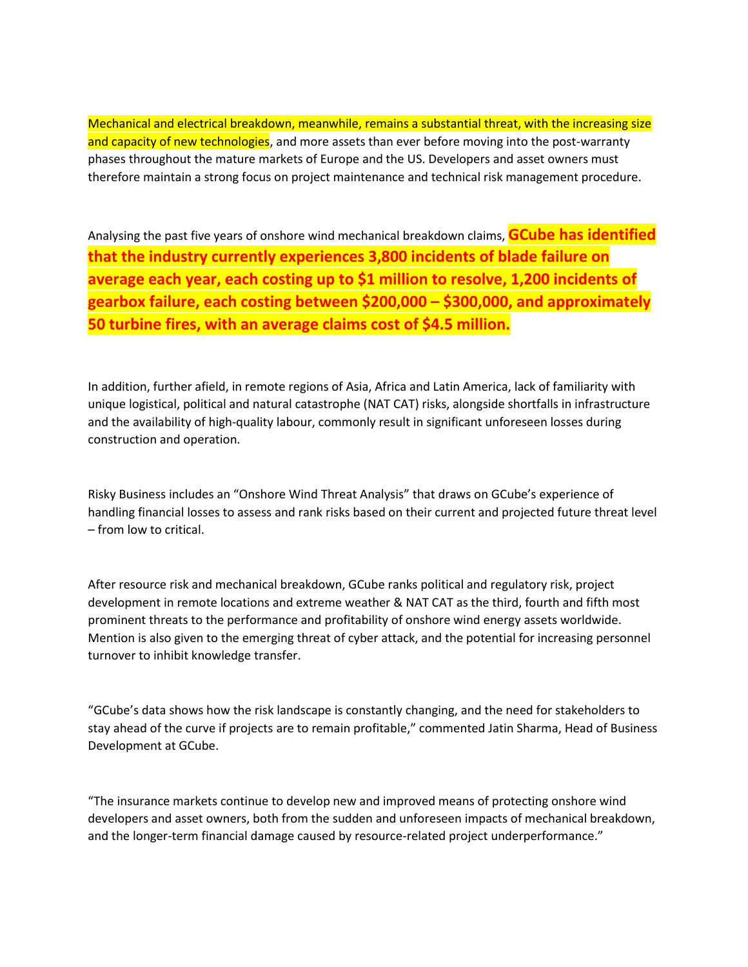Mechanical and electrical breakdown, meanwhile, remains a substantial threat, with the increasing size and capacity of new technologies, and more assets than ever before moving into the post-warranty phases throughout the mature markets of Europe and the US. Developers and asset owners must therefore maintain a strong focus on project maintenance and technical risk management procedure.

Analysing the past five years of onshore wind mechanical breakdown claims, **GCube has identified that the industry currently experiences 3,800 incidents of blade failure on average each year, each costing up to \$1 million to resolve, 1,200 incidents of gearbox failure, each costing between \$200,000 – \$300,000, and approximately 50 turbine fires, with an average claims cost of \$4.5 million.**

In addition, further afield, in remote regions of Asia, Africa and Latin America, lack of familiarity with unique logistical, political and natural catastrophe (NAT CAT) risks, alongside shortfalls in infrastructure and the availability of high-quality labour, commonly result in significant unforeseen losses during construction and operation.

Risky Business includes an "Onshore Wind Threat Analysis" that draws on GCube's experience of handling financial losses to assess and rank risks based on their current and projected future threat level – from low to critical.

After resource risk and mechanical breakdown, GCube ranks political and regulatory risk, project development in remote locations and extreme weather & NAT CAT as the third, fourth and fifth most prominent threats to the performance and profitability of onshore wind energy assets worldwide. Mention is also given to the emerging threat of cyber attack, and the potential for increasing personnel turnover to inhibit knowledge transfer.

"GCube's data shows how the risk landscape is constantly changing, and the need for stakeholders to stay ahead of the curve if projects are to remain profitable," commented Jatin Sharma, Head of Business Development at GCube.

"The insurance markets continue to develop new and improved means of protecting onshore wind developers and asset owners, both from the sudden and unforeseen impacts of mechanical breakdown, and the longer-term financial damage caused by resource-related project underperformance."